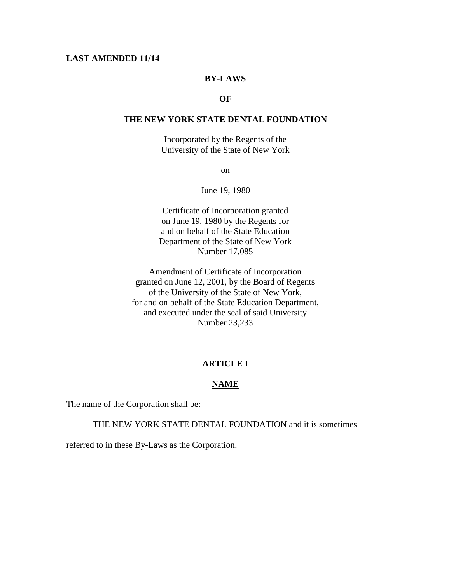# **LAST AMENDED 11/14**

# **BY-LAWS**

# **OF**

# **THE NEW YORK STATE DENTAL FOUNDATION**

Incorporated by the Regents of the University of the State of New York

on

June 19, 1980

Certificate of Incorporation granted on June 19, 1980 by the Regents for and on behalf of the State Education Department of the State of New York Number 17,085

Amendment of Certificate of Incorporation granted on June 12, 2001, by the Board of Regents of the University of the State of New York, for and on behalf of the State Education Department, and executed under the seal of said University Number 23,233

#### **ARTICLE I**

#### **NAME**

The name of the Corporation shall be:

THE NEW YORK STATE DENTAL FOUNDATION and it is sometimes

referred to in these By-Laws as the Corporation.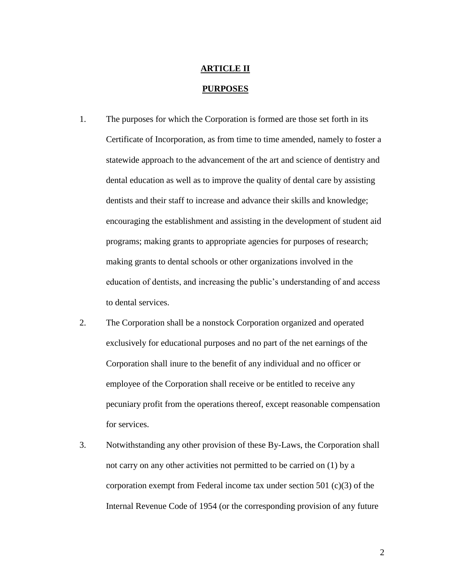# **ARTICLE II**

- **PURPOSES**
- 1. The purposes for which the Corporation is formed are those set forth in its Certificate of Incorporation, as from time to time amended, namely to foster a statewide approach to the advancement of the art and science of dentistry and dental education as well as to improve the quality of dental care by assisting dentists and their staff to increase and advance their skills and knowledge; encouraging the establishment and assisting in the development of student aid programs; making grants to appropriate agencies for purposes of research; making grants to dental schools or other organizations involved in the education of dentists, and increasing the public's understanding of and access to dental services.
- 2. The Corporation shall be a nonstock Corporation organized and operated exclusively for educational purposes and no part of the net earnings of the Corporation shall inure to the benefit of any individual and no officer or employee of the Corporation shall receive or be entitled to receive any pecuniary profit from the operations thereof, except reasonable compensation for services.
- 3. Notwithstanding any other provision of these By-Laws, the Corporation shall not carry on any other activities not permitted to be carried on (1) by a corporation exempt from Federal income tax under section 501 (c)(3) of the Internal Revenue Code of 1954 (or the corresponding provision of any future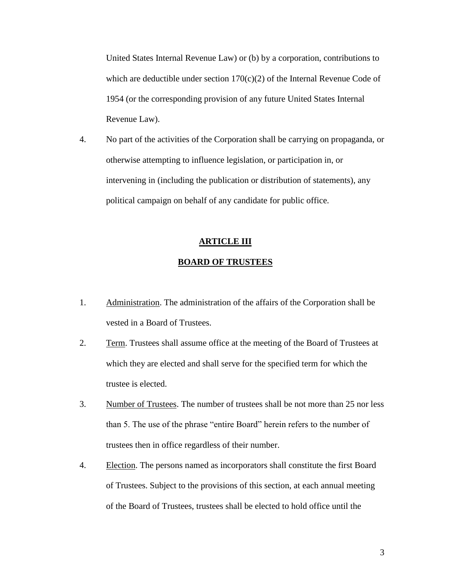United States Internal Revenue Law) or (b) by a corporation, contributions to which are deductible under section  $170(c)(2)$  of the Internal Revenue Code of 1954 (or the corresponding provision of any future United States Internal Revenue Law).

4. No part of the activities of the Corporation shall be carrying on propaganda, or otherwise attempting to influence legislation, or participation in, or intervening in (including the publication or distribution of statements), any political campaign on behalf of any candidate for public office.

#### **ARTICLE III**

#### **BOARD OF TRUSTEES**

- 1. Administration. The administration of the affairs of the Corporation shall be vested in a Board of Trustees.
- 2. Term. Trustees shall assume office at the meeting of the Board of Trustees at which they are elected and shall serve for the specified term for which the trustee is elected.
- 3. Number of Trustees. The number of trustees shall be not more than 25 nor less than 5. The use of the phrase "entire Board" herein refers to the number of trustees then in office regardless of their number.
- 4. Election. The persons named as incorporators shall constitute the first Board of Trustees. Subject to the provisions of this section, at each annual meeting of the Board of Trustees, trustees shall be elected to hold office until the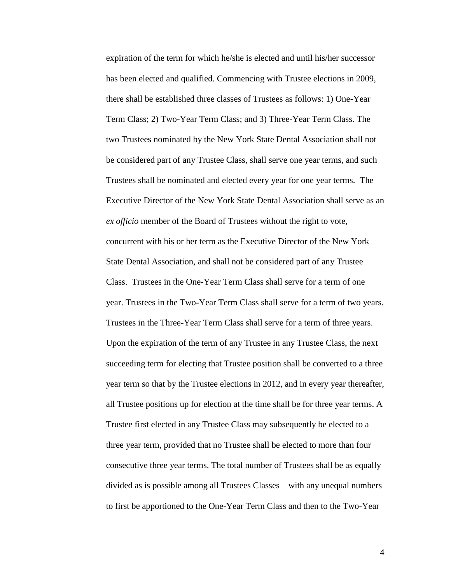expiration of the term for which he/she is elected and until his/her successor has been elected and qualified. Commencing with Trustee elections in 2009, there shall be established three classes of Trustees as follows: 1) One-Year Term Class; 2) Two-Year Term Class; and 3) Three-Year Term Class. The two Trustees nominated by the New York State Dental Association shall not be considered part of any Trustee Class, shall serve one year terms, and such Trustees shall be nominated and elected every year for one year terms. The Executive Director of the New York State Dental Association shall serve as an *ex officio* member of the Board of Trustees without the right to vote, concurrent with his or her term as the Executive Director of the New York State Dental Association, and shall not be considered part of any Trustee Class. Trustees in the One-Year Term Class shall serve for a term of one year. Trustees in the Two-Year Term Class shall serve for a term of two years. Trustees in the Three-Year Term Class shall serve for a term of three years. Upon the expiration of the term of any Trustee in any Trustee Class, the next succeeding term for electing that Trustee position shall be converted to a three year term so that by the Trustee elections in 2012, and in every year thereafter, all Trustee positions up for election at the time shall be for three year terms. A Trustee first elected in any Trustee Class may subsequently be elected to a three year term, provided that no Trustee shall be elected to more than four consecutive three year terms. The total number of Trustees shall be as equally divided as is possible among all Trustees Classes – with any unequal numbers to first be apportioned to the One-Year Term Class and then to the Two-Year

4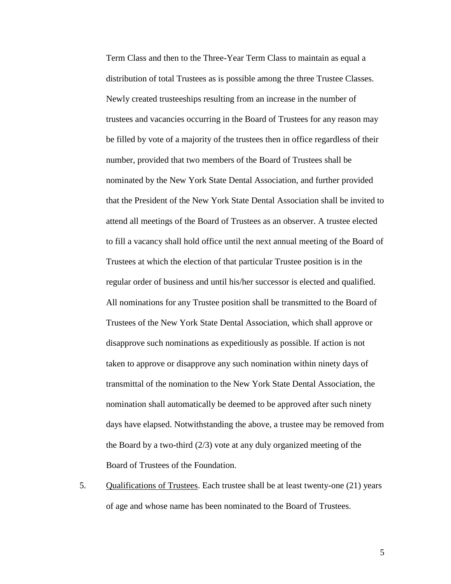Term Class and then to the Three-Year Term Class to maintain as equal a distribution of total Trustees as is possible among the three Trustee Classes. Newly created trusteeships resulting from an increase in the number of trustees and vacancies occurring in the Board of Trustees for any reason may be filled by vote of a majority of the trustees then in office regardless of their number, provided that two members of the Board of Trustees shall be nominated by the New York State Dental Association, and further provided that the President of the New York State Dental Association shall be invited to attend all meetings of the Board of Trustees as an observer. A trustee elected to fill a vacancy shall hold office until the next annual meeting of the Board of Trustees at which the election of that particular Trustee position is in the regular order of business and until his/her successor is elected and qualified. All nominations for any Trustee position shall be transmitted to the Board of Trustees of the New York State Dental Association, which shall approve or disapprove such nominations as expeditiously as possible. If action is not taken to approve or disapprove any such nomination within ninety days of transmittal of the nomination to the New York State Dental Association, the nomination shall automatically be deemed to be approved after such ninety days have elapsed. Notwithstanding the above, a trustee may be removed from the Board by a two-third (2/3) vote at any duly organized meeting of the Board of Trustees of the Foundation.

5. Qualifications of Trustees. Each trustee shall be at least twenty-one (21) years of age and whose name has been nominated to the Board of Trustees.

5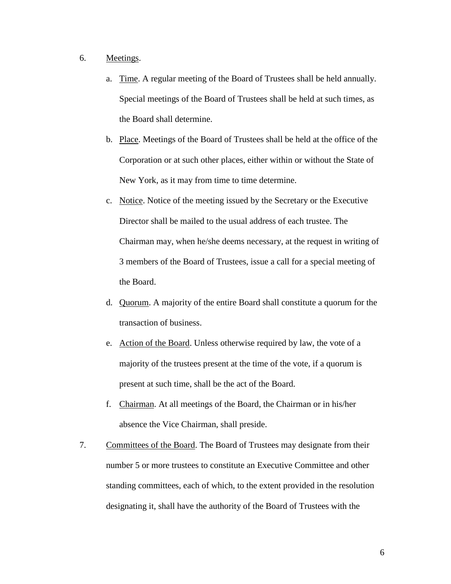# 6. Meetings.

- a. Time. A regular meeting of the Board of Trustees shall be held annually. Special meetings of the Board of Trustees shall be held at such times, as the Board shall determine.
- b. Place. Meetings of the Board of Trustees shall be held at the office of the Corporation or at such other places, either within or without the State of New York, as it may from time to time determine.
- c. Notice. Notice of the meeting issued by the Secretary or the Executive Director shall be mailed to the usual address of each trustee. The Chairman may, when he/she deems necessary, at the request in writing of 3 members of the Board of Trustees, issue a call for a special meeting of the Board.
- d. Quorum. A majority of the entire Board shall constitute a quorum for the transaction of business.
- e. Action of the Board. Unless otherwise required by law, the vote of a majority of the trustees present at the time of the vote, if a quorum is present at such time, shall be the act of the Board.
- f. Chairman. At all meetings of the Board, the Chairman or in his/her absence the Vice Chairman, shall preside.
- 7. Committees of the Board. The Board of Trustees may designate from their number 5 or more trustees to constitute an Executive Committee and other standing committees, each of which, to the extent provided in the resolution designating it, shall have the authority of the Board of Trustees with the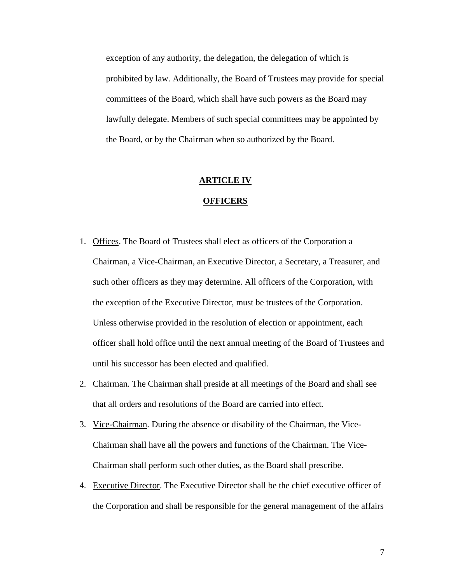exception of any authority, the delegation, the delegation of which is prohibited by law. Additionally, the Board of Trustees may provide for special committees of the Board, which shall have such powers as the Board may lawfully delegate. Members of such special committees may be appointed by the Board, or by the Chairman when so authorized by the Board.

#### **ARTICLE IV**

#### **OFFICERS**

- 1. Offices. The Board of Trustees shall elect as officers of the Corporation a Chairman, a Vice-Chairman, an Executive Director, a Secretary, a Treasurer, and such other officers as they may determine. All officers of the Corporation, with the exception of the Executive Director, must be trustees of the Corporation. Unless otherwise provided in the resolution of election or appointment, each officer shall hold office until the next annual meeting of the Board of Trustees and until his successor has been elected and qualified.
- 2. Chairman. The Chairman shall preside at all meetings of the Board and shall see that all orders and resolutions of the Board are carried into effect.
- 3. Vice-Chairman. During the absence or disability of the Chairman, the Vice-Chairman shall have all the powers and functions of the Chairman. The Vice-Chairman shall perform such other duties, as the Board shall prescribe.
- 4. Executive Director. The Executive Director shall be the chief executive officer of the Corporation and shall be responsible for the general management of the affairs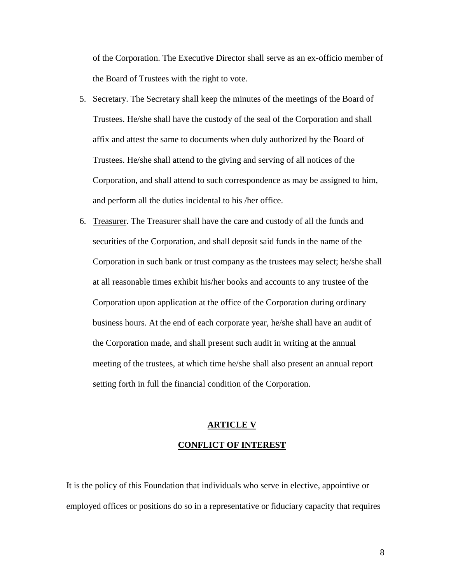of the Corporation. The Executive Director shall serve as an ex-officio member of the Board of Trustees with the right to vote.

- 5. Secretary. The Secretary shall keep the minutes of the meetings of the Board of Trustees. He/she shall have the custody of the seal of the Corporation and shall affix and attest the same to documents when duly authorized by the Board of Trustees. He/she shall attend to the giving and serving of all notices of the Corporation, and shall attend to such correspondence as may be assigned to him, and perform all the duties incidental to his /her office.
- 6. Treasurer. The Treasurer shall have the care and custody of all the funds and securities of the Corporation, and shall deposit said funds in the name of the Corporation in such bank or trust company as the trustees may select; he/she shall at all reasonable times exhibit his/her books and accounts to any trustee of the Corporation upon application at the office of the Corporation during ordinary business hours. At the end of each corporate year, he/she shall have an audit of the Corporation made, and shall present such audit in writing at the annual meeting of the trustees, at which time he/she shall also present an annual report setting forth in full the financial condition of the Corporation.

# **ARTICLE V CONFLICT OF INTEREST**

It is the policy of this Foundation that individuals who serve in elective, appointive or employed offices or positions do so in a representative or fiduciary capacity that requires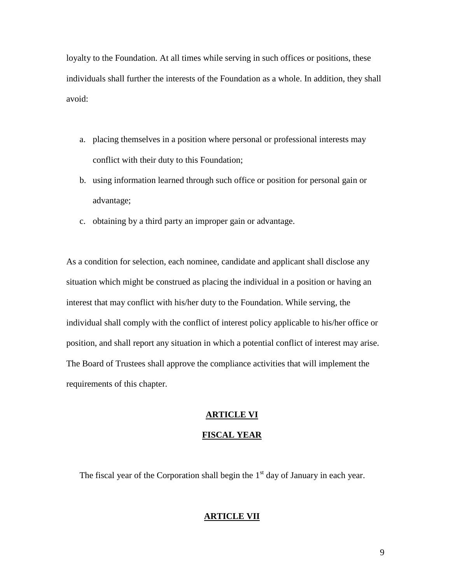loyalty to the Foundation. At all times while serving in such offices or positions, these individuals shall further the interests of the Foundation as a whole. In addition, they shall avoid:

- a. placing themselves in a position where personal or professional interests may conflict with their duty to this Foundation;
- b. using information learned through such office or position for personal gain or advantage;
- c. obtaining by a third party an improper gain or advantage.

As a condition for selection, each nominee, candidate and applicant shall disclose any situation which might be construed as placing the individual in a position or having an interest that may conflict with his/her duty to the Foundation. While serving, the individual shall comply with the conflict of interest policy applicable to his/her office or position, and shall report any situation in which a potential conflict of interest may arise. The Board of Trustees shall approve the compliance activities that will implement the requirements of this chapter.

# **ARTICLE VI**

### **FISCAL YEAR**

The fiscal year of the Corporation shall begin the  $1<sup>st</sup>$  day of January in each year.

### **ARTICLE VII**